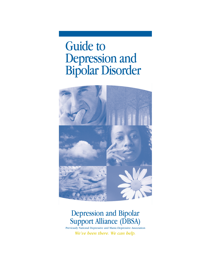Guide to Depression and Bipolar Disorder



# Depression and Bipolar Support Alliance (DBSA)

Previously National Depressive and Manic-Depressive Association *We've been there. We can help.*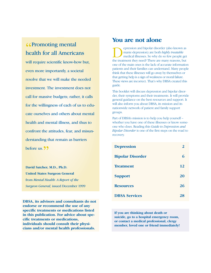# **«Promoting mental<br>health for all America** health for all Americans

will require scientific know-how but, even more importantly, a societal resolve that we will make the needed investment. The investment does not call for massive budgets; rather, it calls for the willingness of each of us to educate ourselves and others about mental health and mental illness, and thus to confront the attitudes, fear, and misunderstanding that remain as barriers before us.  $99$ 

**David Satcher, M.D., Ph.D. United States Surgeon General** from *Mental Health: A Report of the Surgeon General,* issued December 1999

**DBSA, its advisors and consultants do not endorse or recommend the use of any specific treatments or medications listed in this publication. For advice about specific treatments or medications, individuals should consult their physicians and/or mental health professionals.**

# **You are not alone**

**OREGENSION** epression and bipolar disorder (also known as manic-depression) are both *highly treatable* medical illnesses. So why do so few people get the treatment they need? There are many reasons, but manic-depression) are both *highly treatable* medical illnesses. So why do so few people get one of the main ones is the lack of accurate information patients and their families can understand. Many people think that these illnesses will go away by themselves or that getting help is a sign of weakness or moral failure. These views are incorrect. That's why DBSA created this guide*.*

This booklet will discuss depression and bipolar disorder, their symptoms and their treatments. It will provide general guidance on the best resources and support. It will also inform you about DBSA, its mission and its nationwide network of patient and family support groups.

Part of DBSA's mission is to help you help yourself – whether you have one of these illnesses or know someone who does. Reading this *Guide to Depression and Bipolar Disorder* is one of the first steps on the road to recovery.

| <b>Depression</b>       |    |
|-------------------------|----|
| <b>Bipolar Disorder</b> | 6  |
| <b>Treatment</b>        | 12 |
| <b>Support</b>          | 20 |
| <b>Resources</b>        | 26 |
| <b>DBSA Services</b>    | 28 |

**If you are thinking about death or suicide, go to a hospital emergency room, or contact a medical professional, clergy member, loved one or friend immediately!**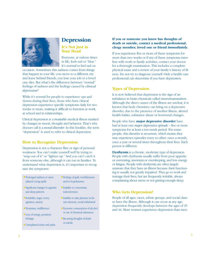

# **Depression**

#### **It's Not Just in Your Head**

Everyone, at various times in life, feels sad or "blue." It's normal to feel sad on

occasion. Sometimes this sadness comes from things that happen in your life: you move to a different city and leave behind friends, you lose your job or a loved one dies. But what's the difference between "normal" feelings of sadness and the feelings caused by *clinical depression?*

While it's normal for people to experience ups and downs during their lives, those who have clinical depression experience specific symptoms daily for two weeks or more, making it difficult to function at work, at school and in relationships.

Clinical depression is a *treatable* medical illness marked by changes in mood, thought and behavior. That's why doctors call it a *mood disorder.* In this booklet, the term "depression" is used to refer to clinical depression.

# **How to Recognize Depression**

Depression is not a character flaw or sign of personal weakness. You can't make yourself well by trying to "snap out of it" or "lighten up." And you can't catch it from someone else, although it can run in families. To understand what depression is, it's important to recognize the symptoms:

- Prolonged sadness or unexplained crying spells
- Significant changes in appetite and sleep patterns
- Irritability, anger, worry, agitation, anxiety
- Pessimism, indifference
- Loss of energy, persistent lethargy
- Unexplained aches and pains
- Feelings of guilt, worthlessness and/or hopelessness
- Inability to concentrate, indecisiveness
- Inability to take pleasure in former interests, social withdrawal
- Excessive consumption of alcohol or use of chemical substances
- Recurring thoughts of death or suicide

#### **If you or someone you know has thoughts of death or suicide, contact a medical professional, clergy member, loved one or friend** *immediately***.**

If you experience five or more of these symptoms for more than two weeks or if any of these symptoms interfere with work or family activities, contact your doctor for a thorough examination. This includes a complete physical exam and a review of your family's history of illness. Do not try to diagnose yourself. Only a health care professional can determine if you have depression.

# **Types of Depression**

It is now believed that depression is the sign of an imbalance in brain chemicals called *neurotransmitters*. Although the direct causes of the illness are unclear, it is known that body chemistry can bring on a depressive disorder, due to the presence of another illness, altered health habits, substance abuse or hormonal changes.

People who have **major depressive disorder** have had at least one *major depressive episode* – five or more symptoms for at least a two-week period. For some people, this disorder is recurrent, which means they may experience episodes every so often: once a month, once a year or several times throughout their lives. Each person is different.

**Dysthymia** is a chronic, moderate type of depression. People with dysthymia usually suffer from poor appetite or overeating, insomnia or oversleeping, and low energy or fatigue. People with dysthymia are often largely unaware that they have an illness because their functioning is usually not greatly impaired. They go to work and manage their lives, but are frequently irritable, always complaining about stress or not getting enough sleep.

# **Who Gets Depression?**

People of all ages, races, ethnic groups, and social classes have the illness. Although it can occur at any age, depression frequently develops between the ages of 25 and 44. More women experience depression than men.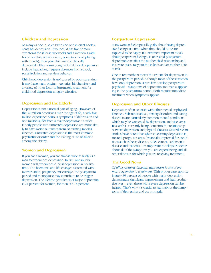### **Children and Depression**

As many as one in 33 children and one in eight adolescents has depression. If your child has five or more symptoms for at least two weeks and it interferes with his or her daily activities (e.g., going to school, playing with friends), then your child may be clinically depressed. Other warning signs of childhood depression include headaches, frequent absences from school, social isolation and reckless behavior.

Childhood depression is *not* caused by poor parenting. It may have many origins – genetics, biochemistry and a variety of other factors. Fortunately, treatment for childhood depression is highly effective.

# **Depression and the Elderly**

Depression is not a normal part of aging. However, of the 32 million Americans over the age of 65, nearly five million experience serious symptoms of depression and one million suffer from a major depressive disorder. Elderly people with untreated depression are more likely to have worse outcomes from co-existing medical illnesses. Untreated depression is the most common psychiatric disorder and the leading cause of suicide among the elderly.

#### **Women and Depression**

If you are a woman, you are almost twice as likely as a man to experience depression. In fact, one in four women will experience clinical depression in her lifetime. The hormonal and life changes associated with menstruation, pregnancy, miscarriage, the postpartum period and menopause may contribute to or trigger depression. The lifetime prevalence of major depression is 24 percent for women; for men, it's 15 percent.

#### **Postpartum Depression**

Many women feel especially guilty about having depressive feelings at a time when they should be or are expected to be happy. It's extremely important to talk about postpartum feelings, as untreated postpartum depression can affect the mother-child relationship and, in severe cases, may put the infant's and/or mother's life at risk.

One in ten mothers meets the criteria for depression in the postpartum period. Although most of these women have only depression, a rare few develop postpartum psychosis – symptoms of depression and mania appearing in the postpartum period. Both require immediate treatment when symptoms appear.

# **Depression and Other Illnesses**

Depression often co-exists with other mental or physical illnesses. Substance abuse, anxiety disorders and eating disorders are particularly common mental conditions which may be worsened by depression, and vice versa. Research is currently being done into the relationship between depression and physical illnesses. Several recent studies have noted that when co-existing depression is treated, prognoses are substantially improved for conditions such as heart disease, AIDS, cancer, Parkinson's disease and diabetes. It is important to tell your doctor about all of the symptoms you are experiencing and all other illnesses for which you are receiving treatment.

# **The Good News**

*Of all psychiatric illnesses, depression is one of the most responsive to treatment.* With proper care, approximately 80 percent of people with major depression demonstrate significant improvement and lead productive lives – even those with severe depression can be helped. That's why it's crucial to learn about the symptoms of depression and act promptly.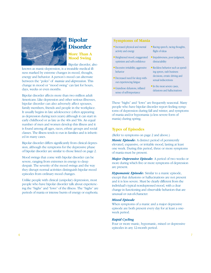

# **Bipolar Disorder**

# **More Than A Mood Swing**

Bipolar disorder, also

known as manic-depression, is a treatable medical illness marked by extreme changes in mood, thought, energy and behavior. A person's mood can alternate between the "poles" of *mania* and *depression*. This change in mood or "mood swing" can last for hours, days, weeks or even months.

Bipolar disorder affects more than two million adult Americans. Like depression and other serious illnesses, bipolar disorder can also adversely affect spouses, family members, friends and people in the workplace. It usually begins in late adolescence (often appearing as depression during teen years) although it can start in early childhood or as late as the 40s and 50s. An equal number of men and women develop this illness and it is found among all ages, races, ethnic groups and social classes. The illness tends to run in families and is inherited in many cases.

Bipolar disorder differs significantly from clinical depression, although the symptoms for the depressive phase of bipolar disorder are similar to those listed on page 2.

Mood swings that come with bipolar disorder can be severe, ranging from extremes in energy to deep despair. The severity of the mood swings and the way they disrupt normal activities distinguish bipolar mood episodes from ordinary mood changes.

Unlike people with clinical (unipolar) depression, most people who have bipolar disorder talk about experiencing the "highs" and "lows" of the illness. The "highs" are periods of mania or intense bursts of energy or euphoria.

### **Symptoms of Mania**

- Increased physical and mental activity and energy
- Heightened mood, exaggerated optimism and self-confidence
- Excessive irritability, aggressive behavior
- Decreased need for sleep without experiencing fatigue
- Grandiose delusions, inflated sense of self-importance
- Racing speech, racing thoughts, flight of ideas
- Impulsiveness, poor judgment, distractability
- Reckless behavior such as spending sprees, rash business decisions, erratic driving and sexual indiscretions
- In the most severe cases, delusions and hallucinations

These "highs" and "lows" are frequently seasonal. Many people who have bipolar disorder report feeling symptoms of depression during fall and winter, and symptoms of mania and/or hypomania (a less severe form of mania) during spring.

# **Types of Episodes**

(Refer to symptoms on page 2 and above.)

*Manic Episode:* A distinct period of persistently elevated, expansive, or irritable mood, lasting at least one week. During this period, three or more symptoms of mania must be present.

*Major Depressive Episode:* A period of two weeks or more during which five or more symptoms of depression are present.

*Hypomanic Episode:* Similar to a manic episode, except that delusions or hallucinations are not present and it is less severe. Must be clearly different from the individual's typical nondepressed mood, with a clear change in functioning and observable behaviors that are unusual or out-of-character.

#### *Mixed Episode*

When symptoms of a manic and a major depressive episode are both present every day for at least a oneweek period.

#### *Rapid Cycling*

Four or more manic, hypomanic, mixed or depressive episodes in any 12-month period.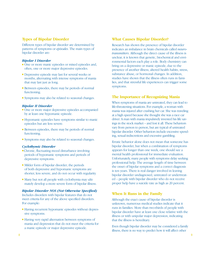# **Types of Bipolar Disorder**

Different types of bipolar disorder are determined by patterns of symptoms or *episodes*. The main types of bipolar disorder are:

#### *Bipolar I Disorder*

- One or more manic episodes or mixed episodes and, often, one or more major depressive episodes.
- Depressive episode may last for several weeks or months, alternating with intense symptoms of mania that may last just as long.
- Between episodes, there may be periods of normal functioning.
- Symptoms may also be related to seasonal changes.

#### *Bipolar II Disorder*

- One or more major depressive episodes accompanied by at least one hypomanic episode.
- Hypomanic episodes have symptoms similar to manic episodes but are less severe.
- Between episodes, there may be periods of normal functioning.
- Symptoms may also be related to seasonal changes.

#### *Cyclothymic Disorder*

- Chronic, fluctuating mood disturbance involving periods of hypomanic symptoms and periods of depressive symptoms.
- Milder form of bipolar disorder; the periods of both depressive and hypomanic symptoms are shorter, less severe, and do not occur with regularity.
- Many but not all people with cyclothymia may ultimately develop a more severe form of bipolar illness.

#### *Bipolar Disorder NOS (Not Otherwise Specified)*

Includes disorders with bipolar features that do not meet criteria for any of the above specified disorders. For example:

- Having recurrent hypomanic episodes without depressive symptoms.
- Having very rapid alternation between symptoms of mania and depression that do not meet the criteria for a manic episode or major depressive episode.

## **What Causes Bipolar Disorder?**

Research has shown the presence of bipolar disorder indicates an imbalance in brain chemicals called *neurotransmitters*. Although the direct cause of the illness is unclear, it is known that genetic, biochemical and environmental factors each play a role. Body chemistry can bring on a depressive or manic episode, due to the presence of another illness, altered health habits, stress, substance abuse, or hormonal changes. In addition, studies have shown that the illness often runs in families, and that stressful life experiences can trigger some symptoms.

#### **The Importance of Recognizing Mania**

When symptoms of mania are untreated, they can lead to life-threatening situations. For example, a woman with mania was injured after crashing her car. She was traveling at a high speed because she thought she was a race car driver. A man with mania impulsively invested his life savings in the stock market – and lost it all. These behaviors vary from person to person, but are typical of untreated bipolar disorder. Other behaviors include excessive spending, sexual indiscretions and excessive gambling.

Erratic behavior alone does not mean that someone has bipolar disorder, but when a combination of symptoms appears for longer than one week, one should see a mental health professional for immediate evaluation. Unfortunately, many people with symptoms delay seeking professional help. The average length of time between the onset of bipolar symptoms and a correct diagnosis is ten years. There is real danger involved in leaving bipolar disorder undiagnosed, untreated or undertreated – people with bipolar disorder who do not receive proper help have a suicide rate as high as 20 percent.

# **When It Runs in the Family**

Although the exact cause of bipolar disorder is unknown, numerous medical studies indicate that it runs in families. More than two-thirds of people with bipolar disorder have at least one close relative with the illness or with unipolar major depression, indicating that the illness is hereditary.

Even though bipolar disorder may be considered a family illness, there is no way to predict how it will affect other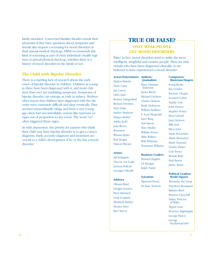family members. Concerned families should consult their physicians if they have questions about symptoms and should also request a screening for mood disorders at their annual medical check-up. DBSA recommends this kind of screening as part of every individual's health regimen or annual physical check-up, whether there is a history of mood disorders in the family or not.

# **The Child with Bipolar Disorder**

There is a startling lack of research about the early onset of bipolar disorder in children. Children as young as three have been diagnosed with it, and more children than ever are exhibiting symptoms. Symptoms of bipolar disorder can emerge as early as infancy. Mothers often report that children later diagnosed with the disorder were extremely difficult and slept erratically. They seemed extraordinarily clingy, and from a very young age often had uncontrollable, seizure-like tantrums or rages out of proportion to any event. The word "no" often triggered these rages.

As with depression, the priority for parents who think their child may have bipolar disorder is to get a correct diagnosis. Early, accurate diagnosis and treatment are crucial to a child's development if he or she has a mood disorder.

# **TRUE OR FALSE? ONLY WEAK PEOPLE GET MOOD DISORDERS**

False! In fact, mood disorders tend to strike the most intelligent, insightful and creative people. Here are individuals who have been diagnosed clinically, or are believed to have experienced a mood disorder:

# **Actors/Entertainers Authors/**  Marlon Brando Drew Carey Jim Carrey Dick Clark Rodney Dangerfield Richard Dreyfuss Patty Duke Audrey Hepburn Margot Kidder Ashley Judd Joan Rivers Roseanne Winona Ryder Rod Steiger Damon Wayans

#### **Artists**

Michelangelo Vincent van Gogh Jackson Pollock Georgia O'Keeffe

#### **Athletes**

Oksana Baiul Dwight Gooden Peter Harnisch Greg Louganis Elizabeth Manley Monica Seles Bert Yancey

**Journalists**

Hans Christian Andersen James Barrie Michael Crichton Charles Dickens Emily Dickinson William Faulkner F. Scott Fitzgerald Larry King Neil Simon Mary Shelley William Styron

#### **Business Leaders**

Howard Hughes J.P. Morgan Ralph Nader

#### **Scientists**

Sigmund Freud Sir Isaac Newton Irving Berlin Ray Charles Frederic Chopin Leonard Cohen

**Composers/ Musicians/Singers**

Natalie Cole John Denver Stephen Foster Peter Gabriel Janet Jackson Billy Joel Elton John Sarah McLachlan Alanis Morissette Marie Osmond Charles Parker Cole Porter Bonnie Raitt Paul Simon James Taylor

#### **Political Leaders/ World Figures**

Alexander the Great Napoleon Bonaparte Barbara Bush Winston Churchill Diana, Princess of Wales Tipper Gore Florence Nightingale George Patton George Stephanopoulos

Mike Wallace Walt Whitman Tennessee Williams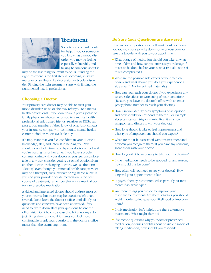

# **Treatment**

Sometimes, it's hard to ask for help. If you or someone you know has a mood disorder, you may be feeling especially vulnerable, and talking to someone about it

may be the last thing you want to do. But finding the right treatment is the first step in becoming an active manager of an illness like depression or bipolar disorder. Finding the right treatment starts with finding the right mental health professional.

# **Choosing a Doctor**

Your primary care doctor may be able to treat your mood disorder, or he or she may refer you to a mental health professional. If you don't have a primary care or family physician who can refer you to a mental health professional, ask trusted friends, relatives or DBSA support group members if they know of one. Also, contact your insurance company or community mental health center to find providers available to you.

It's important that you feel confident in your doctor's knowledge, skill, and interest in helping you. You should never feel intimidated by your doctor or feel as if you're wasting his or her time. If you have a problem communicating with your doctor or you feel uncomfortable in any way, consider getting a second opinion from another doctor or changing doctors. We use the term "doctor," even though your mental health care provider may be a therapist, social worker or registered nurse. If you and your provider decide medication is the best course of treatment, remember that only a medical doctor can prescribe medication.

A skilled and interested doctor should address most of your concerns, but there may be questions left unanswered. Don't leave the doctor's office until all of your questions and concerns have been addressed. If you need to, write down all of your questions before the office visit. Don't be embarrassed to bring up any subject. Bring along a friend if it makes you feel more comfortable or ask your questions in the doctor's office rather than the examining room.

# **Be Sure Your Questions are Answered**

Here are some questions you will want to ask your doctor. You may want to write down some of your own, or take this booklet with you to your appointment.

- What dosage of medication should you take, at what time of day, and how can you increase your dosage if this is to be done before your next visit? (Take notes if this is complicated.)
- What are the possible side effects of your medication(s) and what should you do if you experience a side effect? (Ask for printed materials.)
- How can you reach your doctor if you experience any severe side effects or worsening of your condition? (Be sure you leave the doctor's office with an emergency phone number to reach your doctor.)
- How can you identify early symptoms of an episode and how should you respond to them? (For example, sleeplessness can trigger mania. Treat it as a new symptom and discuss it with your doctor.)
- How long should it take to feel improvement and what type of improvement should you expect?
- What are the risks associated with this treatment and, how can you recognize them? If you have any concerns, share them with your doctor.
- How long will it be necessary to take your medication?
- If the medication needs to be stopped for any reason, how should this be done?
- How often will you need to see your doctor? How long will your appointments take?
- Is psychotherapy recommended as part of your treatment? If so, what type?
- Are there things you can do to improve your response to treatment? Are there activities you should avoid in order to increase your likelihood of improvement?
- If this medication isn't helpful, are there alternative treatments? What might they be?
- If someone questions why your doctor prescribed medication, or raises doubts about possible dangers of taking medication, how should you respond?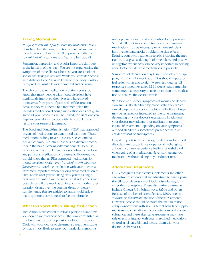#### **Taking Medication**

*"I refuse to rely on a pill to solve my problems."* Many of us have had the same reaction when told we have a mood disorder. How can a pill improve our attitude toward life? Why can't we just "learn to be happy"?

Remember, depression and bipolar illness are disorders in the function of the brain. You are not experiencing the symptoms of these illnesses because you are a bad person or are lacking in any way. Would you consider people with diabetes to be "lacking" because their body's inability to produce insulin leaves them tired and nervous?

The choice to take medication is entirely yours, but know that many people with mood disorders have significantly improved their lives and have saved themselves from years of pain and self-destruction because they've adhered to a treatment plan that includes medication. Though medication does not guarantee all your problems will be solved, the right one can improve your ability to cope with life's problems and restore your sense of judgment.

The Food and Drug Administration (FDA) has approved dozens of medications to treat mood disorders. These medications belong to various classes; each one has a distinct chemical structure that acts on different receptors in the brain, offering different benefits. Because everyone is different, DBSA does not advise or endorse any particular medication or treatment. However, you should know that all FDA-approved medications for mood disorders work – *they just don't work the same for everyone.* Careful consultation with your doctor is extremely important when deciding what medication to take. Know what you're taking, why you're taking it, how long you may have to take it, what side effects are possible, and if the medication interacts with other prescription drugs, over-the-counter drugs or dietary supplements. You are entitled to, and should, ask as many questions as you need to feel comfortable.

#### **What to Expect When Taking Medication**

Medication is prescribed to relive a person's symptoms. You don't have to experience all the symptoms listed in this brochure to have depression or bipolar disorder. Work with your doctor to determine a treatment strategy that is most likely to ease your particular symptoms.

Antidepressants are usually prescribed for depression. Several different medication trials or a combination of medications may be necessary to achieve sufficient improvement and avoid troublesome side effects. Keeping your own treatment records, including the medication, dosages used, length of time taken, and positive or negative experiences, can be very important in helping your doctor decide what medications to prescribe.

Symptoms of depression may lessen, and ideally disappear, with the right medication. You should expect to feel relief within two to eight weeks, although a full response sometimes takes 12-16 weeks. And remember: sometimes it's necessary to take more than one medication to achieve the desired result.

With bipolar disorder, symptoms of mania and depression are usually stabilized by mood stabilizers, which can take up to two weeks to achieve full effect. Dosage may be lessened or increased to fine tune treatment, depending on your doctor's evaluation. In addition, your doctor may add another medication to your course of treatment, depending on your symptoms. A mood stabilizer is sometimes prescribed with an antidepressant or antipsychotic.

Despite reports to the contrary, medications for mood disorders are not addictive or personality-changing, although you may experience feelings of withdrawal when going off a medication. Never stop taking your medication without talking to your doctor first.

#### **Alternative Treatments**

DBSA recognizes that dietary supplements and other alternative treatments that are advertised to have a positive effect on depression or bipolar disorder regularly enter the marketplace. These alternative treatments include Omega-3, St. John's wort, SAM-e and others. Because of the lack of scientific data, DBSA does not *endorse* or *discourage* the use of these treatments. However, people should be aware that natural is not always synonymous with safe. Different brands of supplements may contain different concentrations of the active substance, and these alternative treatments may have side effects or interact with your prescribed medications, so read labels carefully and discuss them with your doctor or pharmacist.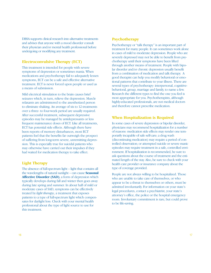DBSA supports clinical research into alternative treatments and advises that anyone with a mood disorder consult their physician and/or mental health professional before undergoing or modifying any treatment.

## **Electroconvulsive Therapy (ECT)**

This treatment is intended for people with severe symptoms of depression or sometimes mania. When medications and psychotherapy fail to adequately lessen symptoms, ECT can be a safe and effective alternative treatment. ECT is never forced upon people or used as a means of submission.

Mild electrical stimulation to the brain causes brief seizures which, in turn, relieve the depression. Muscle relaxants are administered to the anesthetized person to eliminate shaking. An average of six to 12 treatments over a three- to four-week period are usually required. After successful treatment, subsequent depressive episodes may be managed by antidepressants or less frequent maintenance doses of ECT. Like all treatments, ECT has potential side effects. Although there have been reports of memory disturbances, most ECT patients feel that the benefits far outweigh the prospect of suffering from long-term severe, unremitting depression. This is especially true for suicidal patients who may otherwise have carried out their impulses if they had waited for medication therapy to take effect.

# **Light Therapy**

The absence of full-spectrum light – light that contains all the wavelengths of natural sunlight – can cause **Seasonal Affective Disorder (SAD)**, a form of depression which typically develops during fall and winter then goes away during late spring and summer. In about half of mild or moderate cases of SAD, symptoms can be effectively treated by *light therapy*, a treatment that exposes patients to a type of full-spectrum light which compensates for daylight loss. Check with your mental health professional about the type of light source to use for this treatment.

### **Psychotherapy**

Psychotherapy or "talk therapy" is an important part of treatment for many people. It can sometimes work alone in cases of mild to moderate depression. People who are severely depressed may not be able to benefit from psychotherapy until their symptoms have been lifted through another means of treatment. People with bipolar disorder and/or chronic depression usually benefit from a combination of medication and talk therapy. A good therapist can help you modify behavioral or emotional patterns that contribute to your illness. There are several types of psychotherapy: interpersonal, cognitivebehavioral, group, marriage and family, to name a few. Research the different types to find the one you feel is most appropriate for you. Psychotherapists, although highly-educated professionals, are not medical doctors and therefore cannot prescribe medication.

#### **When Hospitalization is Required**

In some cases of severe depression or bipolar disorder, physicians may recommend hospitalization for a number of reasons: medication side effects may render one temporarily incapable of safe self-care; a drug wash (discontinuing medication) may require a period of controlled observation; or attempted suicide or severe manic episodes may require treatment in a safe, controlled environment. If hospitalization is recommended, be sure to ask questions about the course of treatment and the estimated length of the stay. Also, be sure to check with your health care provider or insurance company about the type of coverage provided.

People are not always willing to be hospitalized. Those who are unable to take care of themselves, or who appear to be a threat to themselves or others, must be admitted involuntarily. For information on your state's legal procedures, contact a psychiatrist, your state's attorney's office, the police or the hospital emergency room. Involuntary commitment is rare, but could prove to be life-saving.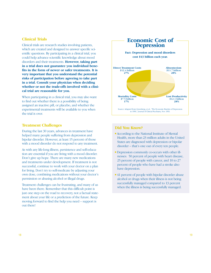#### **Clinical Trials**

Clinical trials are research studies involving patients, which are created and designed to answer specific scientific questions. By participating in a clinical trial, you could help advance scientific knowledge about mood disorders and their treatments. **However, taking part in a trial does not guarantee you individual benefits in the form of newer or safer treatments. It is very important that you understand the potential risks of participation before agreeing to take part in a trial. Consult your physician when deciding whether or not the trade-offs involved with a clinical trial are reasonable for you.**

When participating in a clinical trial, you may also want to find out whether there is a possibility of being assigned an inactive pill, or placebo, and whether the experimental treatments will be available to you when the trial is over.

#### **Treatment Challenges**

During the last 30 years, advances in treatment have helped many people suffering from depression and bipolar disorder. However, at least 15 percent of those with a mood disorder do not respond to any treatment.

As with any life-long illness, persistence and self-education are essential if you are living with a mood disorder. Don't give up hope. There are many new medications and treatments under development. If treatment is not successful, continue to work with your doctor on a plan for living. Don't try to self-medicate by adjusting your own dose, combining medications without your doctor's permission or abusing alcohol or illegal drugs.

Treatment challenges can be frustrating, and many of us have been there. Remember that this difficult point is just one step on the road to recovery, not a factual statement about your life or a prediction of the future. Keep moving forward to find the help you need – support is out there!



### **Did You Know?**

- According to the National Institute of Mental Health, more than 23 million adults in the United States are diagnosed with depression or bipolar disorder – that's one out of every ten people.
- Depression commonly co-occurs with other illnesses: 50 percent of people with heart disease, 25 percent of people with cancer, and 10 to 27 percent of people who have had a stroke also have depression.
- 41 percent of people with bipolar disorder abuse alcohol or drugs when their illness is not being successfully managed compared to 13 percent when the illness is being successfully managed.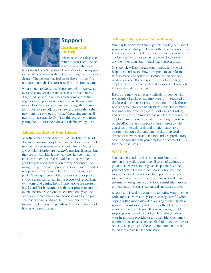

# **Support Reaching Out**

**for Help** When someone is diagnosed with a mental illness, the first reaction he or she some-

times has is fear – What should I do? Why did this happen to me? What's wrong with me? Sometimes, the fear goes deeper. The person may feel he or she is "broken" or not good enough. This fear usually comes from stigma.

What is stigma? Webster's Dictionary defines *stigma* as a mark of shame or discredit: a stain. The fear a newlydiagnosed person sometimes feels comes from the stigma society places on mental illness. People with mood disorders not only have to manage their symptoms, but have to adjust to a new awareness that others may think or say they are "crazy." Devaluing mental illness is not acceptable. Don't let this prevent you from getting help. Your illness does not define who you are.

### **Taking Control of Your Illness**

As with other chronic illnesses such as diabetes, heart disease or asthma, people with mood disorders should see themselves as managers of their illness. Depression and bipolar disorder are *treatable* medical illnesses, but they are not curable. It may very well happen that the initial treatment you receive will be the only time in your life you need medication for your disorder. For many, though, severe depressive and/or manic episodes reappear at some point in life. If this happens, don't panic. Your experience with previous episodes puts you one giant step ahead in the process of recognizing symptoms and getting help. Some people are treated briefly, and finish treatment with their physician and/or mental health professional in less than one year. For others, daily medication and periodic visits to the psychiatrist become a part of life. By continuing your treatment plan, you can greatly reduce your chances of having symptoms recur.

# **Telling Others About Your Illness**

You may be concerned about people "finding out" about your illness or what people might think of you once they know you have a mood disorder. It is your personal choice whether or not to disclose your diagnosis to anyone other than your mental health professional.

Most people will appreciate your honesty, and you will help them understand how to respond to your fluctuations in mood and behavior. Because your illness or medication side effects may impair your functioning, employers may need to be alerted – especially if your job involves the safety of others.

Disclosure may be especially difficult for people with psychiatric disabilities. An employee is not required to disclose all the details of his or her illness – only those necessary to demonstrate eligibility for an accommodation under the Americans with Disabilities Act (ADA), and only if an accommodation is needed. Moreover, the employee may request confidentiality, a right protected by the ADA. It is in a company's best interest to safeguard your mental health and to offer reasonable accommodations. Untreated mood disorders lead to absenteeism, work-related injuries and lost productivity. Share this booklet with your employer or contact DBSA for other resources.

# **Self-Care**

Maintaining good health is not a cure, but it can tremendously affect your overall sense of wellness. A good diet, exercise and regular sleep habits can help you feel better. On the other hand, factors that contribute to mood disorders include poor sleep habits, vitamin deficiencies, stress, other illnesses and their treatments, drug interactions, food sensitivities, improper metabolism, social isolation and substance abuse.

Alcohol and illegal drugs may be tempting ways to cope with stress. However, they are especially harmful when coping with a mood disorder. Abusing them may make your symptoms worse, and can alter the effectiveness of medication you are taking. If you are having trouble stopping your use of alcohol or illegal drugs, talk to your health care provider or a trusted friend or family member. You can also contact Alcoholics Anonymous or other 12-step groups, whose phone numbers can be found in your local telephone book.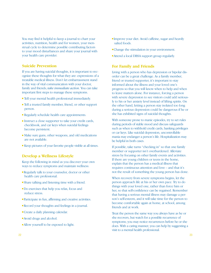You may find it helpful to keep a journal to chart your activities, nutrition, health and for women, your menstrual cycle to determine possible contributing factors to your mood disturbances and share your journal with your health care provider.

#### **Suicide Prevention**

If you are having suicidal thoughts, it is important to recognize these thoughts for what they are: expressions of a treatable medical illness. Don't let embarrassment stand in the way of vital communication with your doctor, family and friends; *take immediate action*. You can take important first steps to manage these symptoms.

- Tell your mental health professional immediately.
- Tell a trusted family member, friend, or other support person.
- Regularly schedule health care appointments.
- Instruct a close supporter to take your credit cards, checkbook, and car keys when suicidal feelings become persistent.
- Make sure guns, other weapons, and old medications are not available.
- Keep pictures of your favorite people visible at all times.

# **Develop a Wellness Lifestyle**

Keep the following in mind as you discover your own ways to reduce symptoms and maintain wellness:

- Regularly talk to your counselor, doctor or other health care professional.
- Share talking and listening time with a friend.
- Do exercises that help you relax, focus and reduce stress.
- Participate in fun, affirming and creative activities.
- Record your thoughts and feelings in a journal.
- Create a daily planning calendar.
- Avoid drugs and alcohol.
- Allow yourself to be exposed to light.
- Improve your diet. Avoid caffeine, sugar and heavily salted foods.
- Change the stimulation in your environment.
- Attend a local DBSA support group regularly.

#### **For Family and Friends**

Living with a person who has depression or bipolar disorder can be a great challenge. As a family member, friend or trusted supporter, it's important to stay informed about the illness and your loved one's progress so that you will know when to help and when to leave matters alone. For instance, forcing a person with severe depression to see visitors could add seriously to his or her anxiety level instead of lifting spirits. On the other hand, letting a person stay isolated too long during a serious depression could be dangerous if he or she has exhibited signs of suicidal thoughts.

With someone prone to manic episodes, try to set rules during periods of stable mood and discuss safeguards such as when to withhold credit cards, banking privileges or car keys. Like suicidal depression, uncontrollable mania may endanger a person's life. Hospitalization may be helpful in both cases.

If possible, take turns "checking in" so that one family member or supporter isn't overburdened. Alleviate stress by focusing on other family events and activities. If there are young children or teens in the home, explain that the person has a medical illness that requires continuous attention and love – and that it's not the result of something the young person has done.

When recovery from severe symptoms begins, let the person approach life at his or her own pace. Try to do things with your loved one, rather than force him or her, so that self-confidence can be regained. Remember that having a serious mental illness may damage a person's self-esteem, and it will take time for the person to become comfortable again at home, at school, among friends and at work.

Treat the person the same way you always have as he or she recovers, but watch for a possible recurrence of symptoms; you may notice recurrences before he or she does. With a caring manner, you can help by suggesting a visit to a mental health professional.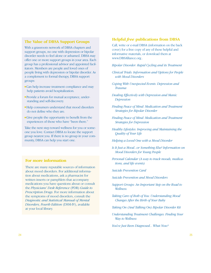## **The Value of DBSA Support Groups**

With a grassroots network of DBSA chapters and support groups, no one with depression or bipolar disorder needs to feel alone or ashamed. DBSA may offer one or more support groups in your area. Each group has a professional advisor and appointed facilitators. Members are people and loved ones of people living with depression or bipolar disorder. As a complement to formal therapy, DBSA support groups:

- Can help increase treatment compliance and may help patients avoid hospitalization.
- Provide a forum for mutual acceptance, understanding and self-discovery.
- Help consumers understand that mood disorders do not define who they are.
- Give people the opportunity to benefit from the experiences of those who have "been there."

Take the next step toward wellness for you or someone you love. Contact DBSA to locate the support group nearest you. If there is no group in your community, DBSA can help you start one.

# **For more information**

There are many reputable sources of information about mood disorders. For additional information about medications, ask a pharmacist for written inserts or pamphlets that accompany medications you have questions about or consult the *Physicians' Desk Reference* (PDR) *Guide to Prescription Drugs*. For more information about the symptoms of mood disorders, consult the *Diagnostic and Statistical Manual of Mental Disorders, Fourth Edition* (DSM-IV), available at your local library.

### **Helpful** *free* **publications from DBSA**

Call, write or e-mail DBSA (information on the back cover) for a free copy of any of these helpful and informative materials, or download them at www.DBSAlliance.org .

*Bipolar Disorder: Rapid Cycling and its Treatment* 

- *Clinical Trials: Information and Options for People with Mood Disorders*
- *Coping With Unexpected Events: Depression and Trauma*
- *Dealing Effectively with Depression and Manic Depression*
- *Finding Peace of Mind: Medication and Treatment Strategies for Bipolar Disorder*
- *Finding Peace of Mind: Medication and Treatment Strategies for Depression*
- *Healthy Lifestyles: Improving and Maintaining the Quality of Your Life*
- *Helping a Loved One with a Mood Disorder*
- *Is It Just a Mood...or Something Else? Information on Mood Disorders for Young People*
- *Personal Calendar (A way to track moods, medications, and life events)*
- *Suicide Prevention Card*
- *Suicide Prevention and Mood Disorders*
- *Support Groups: An Important Step on the Road to Wellness.*
- *Taking Care of Both of You: Understanding Mood Changes After the Birth of Your Baby*
- *Taking On (And Talking On) Bipolar Disorder Kit*
- *Understanding Treatment Challenges: Finding Your Way to Wellness*

*You've Just Been Diagnosed... What Now?*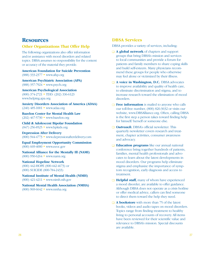# **Resources**

## **Other Organizations That Offer Help**

The following organizations also offer information and/or assistance with mood disorders and related topics. DBSA assumes no responsibility for the content or accuracy of the material they provide.

**American Foundation for Suicide Prevention**  (888) 333-2377 • www.afsp.org

**American Psychiatric Association (APA)** (888) 357-7924 • www.psych.org

**American Psychological Association** (800) 374-2721 • TDD: (202) 336-6123 www.helping.apa.org

**Anxiety Disorders Association of America (ADAA)** (240) 485-1001 • www.adaa.org

**Bazelon Center for Mental Health Law** (202) 467-5730 • www.bazelon.org

**Child & Adolescent Bipolar Foundation** (847) 256-8525 • www.bpkids.org

**Depression After Delivery** (800) 944-4773 • www.depressionafterdelivery.com

**Equal Employment Opportunity Commission**  (800) 669-4000 • www.eeoc.gov

**National Alliance for the Mentally Ill (NAMI)** (800) 950-6264 • www.nami.org

**National Hopeline Network** (800) 442-HOPE (800-442-4673) or (800) SUICIDE (800-784-2433)

**National Institute of Mental Health (NIMH)**  (800) 421-4211 • www.nimh.nih.gov

**National Mental Health Association (NMHA)**  (800) 969-6642 • www.nmha.org

# **DBSA Services**

DBSA provides a variety of services, including:

- □ **A global network** of chapters and support groups that bring DBSA's mission and services to local communities and provide a forum for patients and family members to share coping skills and build self-esteem. Many physicians recommend these groups for people who otherwise may feel alone or victimized by their illness.
- □ **A voice in Washington, D.C.** DBSA advocates to improve availability and quality of health care, to eliminate discrimination and stigma, and to increase research toward the elimination of mood disorders.
- □ **Free information** is mailed to anyone who calls our toll-free number, (800) 826-3632 or visits our website, www.DBSAlliance.org. Often, calling DBSA is the first step a person takes toward finding help for himself/ herself or someone else.
- □ *Outreach*, DBSA's official newsletter. This quarterly newsletter covers research and treatment, chapter activities, consumer awareness and advocacy.
- **□ Education programs** like our annual national conference bring together hundreds of patients, families, mental health professionals and advocates to learn about the latest developments in mood disorders. Our programs help eliminate stigma and emphasize the importance of symptom recognition, early diagnosis and access to treatment.
- □ **Helpful staff,** many of whom have experienced a mood disorder, are available to offer guidance. Although DBSA does not operate as a crisis hotline or offer medical advice, callers can find someone to direct them toward the help they need.
- □ **A bookstore** with more than 75 of the latest books, videos and audio tapes on mood disorders. Topics range from finding treatment to healthy living to personal accounts of recovery. All items have been reviewed for their scientific value and relevance to DBSA's mission. Special discounts are available.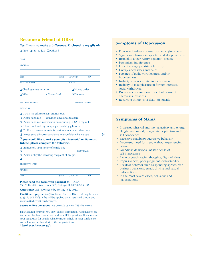# **Become a Friend of DBSA**

#### **Yes, I want to make a difference. Enclosed is my gift of:**

|                                | $\Box$ \$100 $\Box$ \$50 $\Box$ \$20 $\Box$ Other \$ |                        |     |
|--------------------------------|------------------------------------------------------|------------------------|-----|
|                                |                                                      |                        |     |
| <b>NAME</b>                    |                                                      |                        |     |
| <b>ADDRESS</b>                 |                                                      |                        |     |
|                                |                                                      |                        |     |
| <b>CITY</b>                    | <b>STATE</b>                                         | <b>COUNTRY</b>         | ZIP |
| <b>DAYTIME PHONE</b>           |                                                      | E-MAIL                 |     |
| $\Box$ Check (payable to DBSA) |                                                      | $\Box$ Money order     |     |
| $\Box$ VISA                    | □ MasterCard                                         | $\Box$ Discover        |     |
|                                |                                                      |                        |     |
| <b>ACCOUNT NUMBER</b>          |                                                      | <b>EXPIRATION DATE</b> |     |

**SIGNATURE** 

- I wish my gift to remain anonymous. ❏
- □ Please send me \_\_\_\_\_donation envelopes to share.
- □ Please send me information on including DBSA in my will.
- □ I have enclosed my company's matching gift form.
- I'd like to receive more information about mood disorders. ❏
- **</u> Please send all correspondence in a confidential envelope.**

#### **If you would like to make your gift a Memorial or Honorary** ❏ **tribute, please complete the following:**

PRINT NAME

 $\gamma$ 

 $\Box$  In memory of/in honor of (circle one)

❏

 $\Box$  Please notify the following recipient of my gift:

 $\Box$ 

ADDRESS

RECIPIENT'S NAME

CITY STATE COUNTRY ZIP

**Please send this form with payment to:** DBSA 730 N. Franklin Street, Suite 501, Chicago, IL 60610-7224 USA **Questions?** Call (800) 826-3632 or (312) 642-0049.

**Credit card payments** (Visa, MasterCard or Discover) may be faxed to (312) 642-7243. A fee will be applied on all returned checks and resubmitted credit card charges.

**Secure online donations** may be made at www.DBSAlliance.org.

DBSA is a not-for-profit 501(c)(3) Illinois corporation. All donations are tax deductible based on federal and state IRS regulations. Please consult your tax advisor for details. All information is held in strict confidence and will never be shared with other organizations. *Thank you for your gift!*

#### **Symptoms of Depression**

- Prolonged sadness or unexplained crying spells
- Significant changes in appetite and sleep patterns
- Irritability, anger, worry, agitation, anxiety
- Pessimism, indifference
- Loss of energy, persistent lethargy
- Unexplained aches and pains
- Feelings of guilt, worthlessness and/or hopelessness
- Inability to concentrate, indecisiveness
- Inability to take pleasure in former interests, social withdrawal
- Excessive consumption of alcohol or use of chemical substances
- Recurring thoughts of death or suicide

# **Symptoms of Mania**

- Increased physical and mental activity and energy
- Heightened mood, exaggerated optimism and self-confidence
- Excessive irritability, aggressive behavior
- Decreased need for sleep without experiencing fatigue
- Grandiose delusions, inflated sense of self-importance
- Racing speech, racing thoughts, flight of ideas
- Impulsiveness, poor judgment, distractability
- Reckless behavior such as spending sprees, rash business decisions, erratic driving and sexual indiscretions
- In the most severe cases, delusions and hallucinations